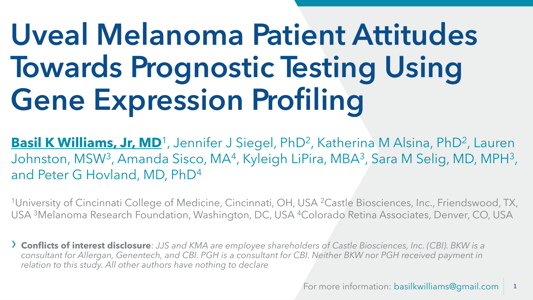# **Uveal Melanoma Patient Attitudes Towards Prognostic Testing Using Gene Expression Profiling**

Basil K Williams, Jr, MD<sup>1</sup>, Jennifer J Siegel, PhD<sup>2</sup>, Katherina M Alsina, PhD<sup>2</sup>, Lauren Johnston, MSW<sup>3</sup>, Amanda Sisco, MA<sup>4</sup>, Kyleigh LiPira, MBA<sup>3</sup>, Sara M Selig, MD, MPH<sup>3</sup>, and Peter G Hovland, MD, PhD<sup>4</sup>

<sup>1</sup>University of Cincinnati College of Medicine, Cincinnati, OH, USA <sup>2</sup>Castle Biosciences, Inc., Friendswood, TX, USA <sup>3</sup>Melanoma Research Foundation, Washington, DC, USA <sup>4</sup>Colorado Retina Associates, Denver, CO, USA

› **Conflicts of interest disclosure**: *JJS and KMA are employee shareholders of Castle Biosciences, Inc. (CBI). BKW is a consultant for Allergan, Genentech, and CBI. PGH is a consultant for CBI. Neither BKW nor PGH received payment in relation to this study. All other authors have nothing to declare*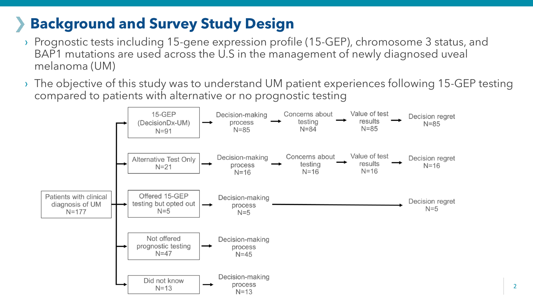## **Background and Survey Study Design**

- › Prognostic tests including 15-gene expression profile (15-GEP), chromosome 3 status, and BAP1 mutations are used across the U.S in the management of newly diagnosed uveal melanoma (UM)
- $\rightarrow$  The objective of this study was to understand UM patient experiences following 15-GEP testing compared to patients with alternative or no prognostic testing

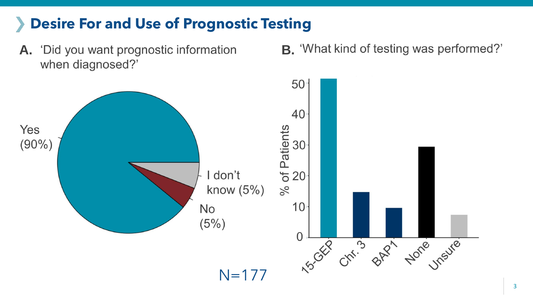## **Desire For and Use of Prognostic Testing**

- when diagnosed?'
- A. 'Did you want prognostic information B. 'What kind of testing was performed?'

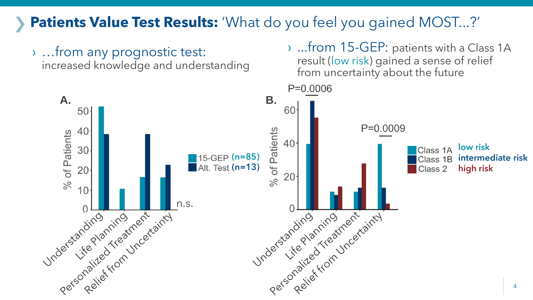### **Patients Value Test Results:** 'What do you feel you gained MOST...?'